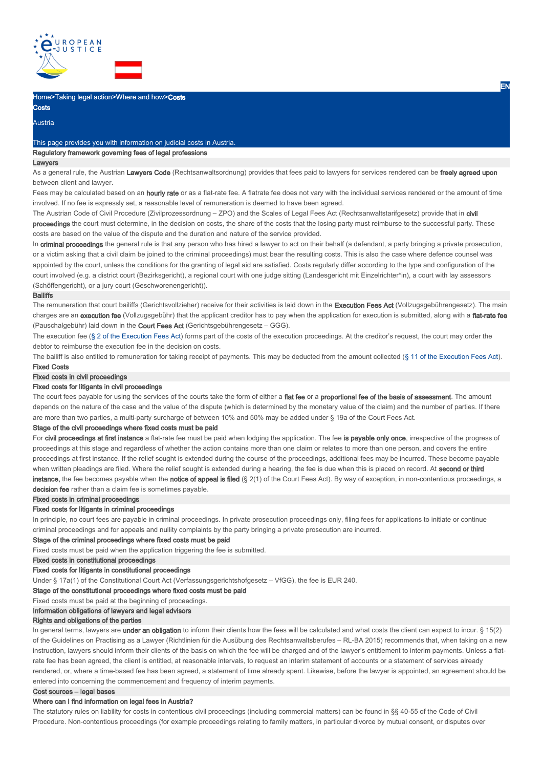

## Home>Taking legal action>Where and how>Costs

Costs Austria

This page provides you with information on judicial costs in Austria.

# Regulatory framework governing fees of legal professions

#### Lawyers

As a general rule, the Austrian Lawyers Code (Rechtsanwaltsordnung) provides that fees paid to lawyers for services rendered can be freely agreed upon between client and lawyer.

EN

Fees may be calculated based on an hourly rate or as a flat-rate fee. A flatrate fee does not vary with the individual services rendered or the amount of time involved. If no fee is expressly set, a reasonable level of remuneration is deemed to have been agreed.

The Austrian Code of Civil Procedure (Zivilprozessordnung - ZPO) and the Scales of Legal Fees Act (Rechtsanwaltstarifgesetz) provide that in civil proceedings the court must determine, in the decision on costs, the share of the costs that the losing party must reimburse to the successful party. These costs are based on the value of the dispute and the duration and nature of the service provided.

In criminal proceedings the general rule is that any person who has hired a lawyer to act on their behalf (a defendant, a party bringing a private prosecution, or a victim asking that a civil claim be joined to the criminal proceedings) must bear the resulting costs. This is also the case where defence counsel was appointed by the court, unless the conditions for the granting of legal aid are satisfied. Costs regularly differ according to the type and configuration of the court involved (e.g. a district court (Bezirksgericht), a regional court with one judge sitting (Landesgericht mit Einzelrichter\*in), a court with lay assessors (Schöffengericht), or a jury court (Geschworenengericht)).

#### Bailiffs

The remuneration that court bailiffs (Gerichtsvollzieher) receive for their activities is laid down in the Execution Fees Act (Vollzugsgebührengesetz). The main charges are an execution fee (Vollzugsgebühr) that the applicant creditor has to pay when the application for execution is submitted, along with a flat-rate fee (Pauschalgebühr) laid down in the Court Fees Act (Gerichtsgebührengesetz – GGG).

The execution fee (§ 2 of the Execution Fees Act) forms part of the costs of the execution proceedings. At the creditor's request, the court may order the debtor to reimburse the execution fee in the decision on costs.

The bailiff is also entitled to remuneration for taking receipt of payments. This may be deducted from the amount collected (§ 11 of the Execution Fees Act). Fixed Costs

### Fixed costs in civil proceedings

## Fixed costs for litigants in civil proceedings

The court fees payable for using the services of the courts take the form of either a flat fee or a proportional fee of the basis of assessment. The amount depends on the nature of the case and the value of the dispute (which is determined by the monetary value of the claim) and the number of parties. If there are more than two parties, a multi-party surcharge of between 10% and 50% may be added under § 19a of the Court Fees Act.

### Stage of the civil proceedings where fixed costs must be paid

For civil proceedings at first instance a flat-rate fee must be paid when lodging the application. The fee is payable only once, irrespective of the progress of proceedings at this stage and regardless of whether the action contains more than one claim or relates to more than one person, and covers the entire proceedings at first instance. If the relief sought is extended during the course of the proceedings, additional fees may be incurred. These become payable when written pleadings are filed. Where the relief sought is extended during a hearing, the fee is due when this is placed on record. At second or third instance, the fee becomes payable when the notice of appeal is filed (§ 2(1) of the Court Fees Act). By way of exception, in non-contentious proceedings, a decision fee rather than a claim fee is sometimes payable.

# Fixed costs in criminal proceedings

## Fixed costs for litigants in criminal proceedings

In principle, no court fees are payable in criminal proceedings. In private prosecution proceedings only, filing fees for applications to initiate or continue criminal proceedings and for appeals and nullity complaints by the party bringing a private prosecution are incurred.

#### Stage of the criminal proceedings where fixed costs must be paid

Fixed costs must be paid when the application triggering the fee is submitted.

Fixed costs in constitutional proceedings

#### Fixed costs for litigants in constitutional proceedings

Under § 17a(1) of the Constitutional Court Act (Verfassungsgerichtshofgesetz - VfGG), the fee is EUR 240.

#### Stage of the constitutional proceedings where fixed costs must be paid

Fixed costs must be paid at the beginning of proceedings.

# Information obligations of lawyers and legal advisors

#### Rights and obligations of the parties

In general terms, lawyers are under an obligation to inform their clients how the fees will be calculated and what costs the client can expect to incur. § 15(2) of the Guidelines on Practising as a Lawyer (Richtlinien für die Ausübung des Rechtsanwaltsberufes – RL-BA 2015) recommends that, when taking on a new instruction, lawyers should inform their clients of the basis on which the fee will be charged and of the lawyer's entitlement to interim payments. Unless a flatrate fee has been agreed, the client is entitled, at reasonable intervals, to request an interim statement of accounts or a statement of services already rendered, or, where a time-based fee has been agreed, a statement of time already spent. Likewise, before the lawyer is appointed, an agreement should be entered into concerning the commencement and frequency of interim payments.

## Cost sources – legal bases

### Where can I find information on legal fees in Austria?

The statutory rules on liability for costs in contentious civil proceedings (including commercial matters) can be found in §§ 40-55 of the Code of Civil Procedure. Non-contentious proceedings (for example proceedings relating to family matters, in particular divorce by mutual consent, or disputes over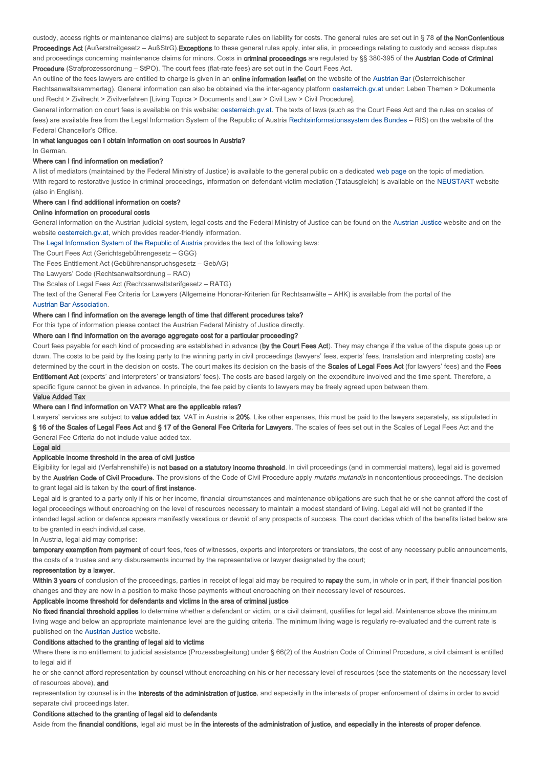custody, access rights or maintenance claims) are subject to separate rules on liability for costs. The general rules are set out in § 78 of the NonContentious Proceedings Act (Außerstreitgesetz – AußStrG).Exceptions to these general rules apply, inter alia, in proceedings relating to custody and access disputes and proceedings concerning maintenance claims for minors. Costs in criminal proceedings are regulated by §§ 380-395 of the Austrian Code of Criminal Procedure (Strafprozessordnung – StPO). The court fees (flat-rate fees) are set out in the Court Fees Act.

An outline of the fees lawyers are entitled to charge is given in an **online information leaflet** on the website of the Austrian Bar (Österreichischer Rechtsanwaltskammertag). General information can also be obtained via the inter-agency platform oesterreich.gv.at under: Leben Themen > Dokumente und Recht > Zivilrecht > Zivilverfahren [Living Topics > Documents and Law > Civil Law > Civil Procedure].

General information on court fees is available on this website: oesterreich.gv.at. The texts of laws (such as the Court Fees Act and the rules on scales of fees) are available free from the Legal Information System of the Republic of Austria Rechtsinformationssystem des Bundes – RIS) on the website of the Federal Chancellor's Office.

### In what languages can I obtain information on cost sources in Austria?

In German.

### Where can I find information on mediation?

A list of mediators (maintained by the Federal Ministry of Justice) is available to the general public on a dedicated web page on the topic of mediation. With regard to restorative justice in criminal proceedings, information on defendant-victim mediation (Tatausgleich) is available on the NEUSTART website (also in English).

### Where can I find additional information on costs?

## Online information on procedural costs

General information on the Austrian judicial system, legal costs and the Federal Ministry of Justice can be found on the Austrian Justice website and on the website oesterreich.gv.at, which provides reader-friendly information.

The Legal Information System of the Republic of Austria provides the text of the following laws:

# The Court Fees Act (Gerichtsgebührengesetz – GGG)

The Fees Entitlement Act (Gebührenanspruchsgesetz – GebAG)

The Lawyers' Code (Rechtsanwaltsordnung – RAO)

The Scales of Legal Fees Act (Rechtsanwaltstarifgesetz – RATG)

The text of the General Fee Criteria for Lawyers (Allgemeine Honorar-Kriterien für Rechtsanwälte – AHK) is available from the portal of the . Austrian Bar Association

## Where can I find information on the average length of time that different procedures take?

For this type of information please contact the Austrian Federal Ministry of Justice directly.

Where can I find information on the average aggregate cost for a particular proceeding?

Court fees payable for each kind of proceeding are established in advance (by the Court Fees Act). They may change if the value of the dispute goes up or down. The costs to be paid by the losing party to the winning party in civil proceedings (lawyers' fees, experts' fees, translation and interpreting costs) are determined by the court in the decision on costs. The court makes its decision on the basis of the Scales of Legal Fees Act (for lawyers' fees) and the Fees Entitlement Act (experts' and interpreters' or translators' fees). The costs are based largely on the expenditure involved and the time spent. Therefore, a specific figure cannot be given in advance. In principle, the fee paid by clients to lawyers may be freely agreed upon between them.

#### Value Added Tax

## Where can I find information on VAT? What are the applicable rates?

Lawyers' services are subject to value added tax. VAT in Austria is 20%. Like other expenses, this must be paid to the lawyers separately, as stipulated in § 16 of the Scales of Legal Fees Act and § 17 of the General Fee Criteria for Lawyers. The scales of fees set out in the Scales of Legal Fees Act and the General Fee Criteria do not include value added tax.

#### Legal aid

### Applicable income threshold in the area of civil justice

Eligibility for legal aid (Verfahrenshilfe) is not based on a statutory income threshold. In civil proceedings (and in commercial matters), legal aid is governed by the Austrian Code of Civil Procedure. The provisions of the Code of Civil Procedure apply mutatis mutandis in noncontentious proceedings. The decision to grant legal aid is taken by the court of first instance.

Legal aid is granted to a party only if his or her income, financial circumstances and maintenance obligations are such that he or she cannot afford the cost of legal proceedings without encroaching on the level of resources necessary to maintain a modest standard of living. Legal aid will not be granted if the intended legal action or defence appears manifestly vexatious or devoid of any prospects of success. The court decides which of the benefits listed below are to be granted in each individual case.

In Austria, legal aid may comprise:

temporary exemption from payment of court fees, fees of witnesses, experts and interpreters or translators, the cost of any necessary public announcements, the costs of a trustee and any disbursements incurred by the representative or lawyer designated by the court;

#### representation by a lawyer.

Within 3 years of conclusion of the proceedings, parties in receipt of legal aid may be required to repay the sum, in whole or in part, if their financial position changes and they are now in a position to make those payments without encroaching on their necessary level of resources.

### Applicable income threshold for defendants and victims in the area of criminal justice

No fixed financial threshold applies to determine whether a defendant or victim, or a civil claimant, qualifies for legal aid. Maintenance above the minimum living wage and below an appropriate maintenance level are the guiding criteria. The minimum living wage is regularly re-evaluated and the current rate is published on the Austrian Justice website.

## Conditions attached to the granting of legal aid to victims

Where there is no entitlement to judicial assistance (Prozessbegleitung) under § 66(2) of the Austrian Code of Criminal Procedure, a civil claimant is entitled to legal aid if

he or she cannot afford representation by counsel without encroaching on his or her necessary level of resources (see the statements on the necessary level of resources above), and

representation by counsel is in the interests of the administration of justice, and especially in the interests of proper enforcement of claims in order to avoid separate civil proceedings later.

### Conditions attached to the granting of legal aid to defendants

Aside from the financial conditions, legal aid must be in the interests of the administration of justice, and especially in the interests of proper defence.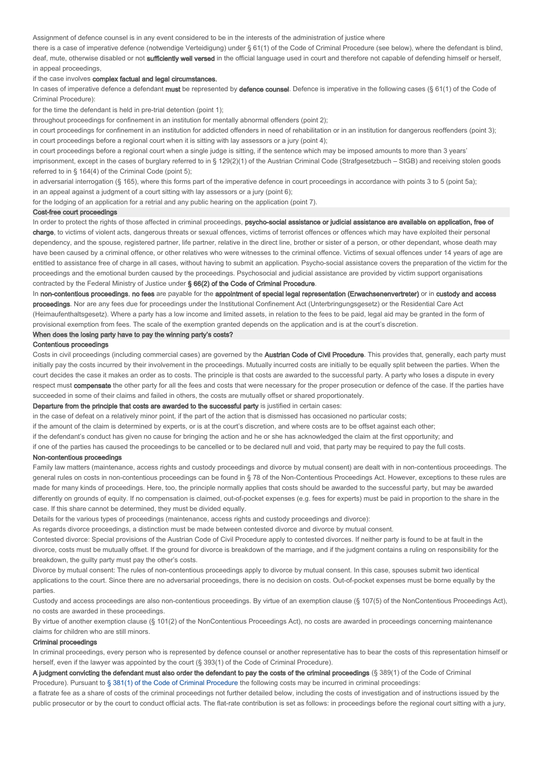Assignment of defence counsel is in any event considered to be in the interests of the administration of justice where

there is a case of imperative defence (notwendige Verteidigung) under § 61(1) of the Code of Criminal Procedure (see below), where the defendant is blind, deaf, mute, otherwise disabled or not sufficiently well versed in the official language used in court and therefore not capable of defending himself or herself, in appeal proceedings,

### if the case involves complex factual and legal circumstances.

In cases of imperative defence a defendant must be represented by defence counsel. Defence is imperative in the following cases (§ 61(1) of the Code of Criminal Procedure):

for the time the defendant is held in pre-trial detention (point 1);

throughout proceedings for confinement in an institution for mentally abnormal offenders (point 2);

in court proceedings for confinement in an institution for addicted offenders in need of rehabilitation or in an institution for dangerous reoffenders (point 3); in court proceedings before a regional court when it is sitting with lay assessors or a jury (point 4);

in court proceedings before a regional court when a single judge is sitting, if the sentence which may be imposed amounts to more than 3 years'

imprisonment, except in the cases of burglary referred to in § 129(2)(1) of the Austrian Criminal Code (Strafgesetzbuch - StGB) and receiving stolen goods referred to in § 164(4) of the Criminal Code (point 5);

in adversarial interrogation (§ 165), where this forms part of the imperative defence in court proceedings in accordance with points 3 to 5 (point 5a); in an appeal against a judgment of a court sitting with lay assessors or a jury (point 6);

for the lodging of an application for a retrial and any public hearing on the application (point 7).

#### Cost-free court proceedings

In order to protect the rights of those affected in criminal proceedings, psycho-social assistance or judicial assistance are available on application, free of charge, to victims of violent acts, dangerous threats or sexual offences, victims of terrorist offences or offences which may have exploited their personal dependency, and the spouse, registered partner, life partner, relative in the direct line, brother or sister of a person, or other dependant, whose death may have been caused by a criminal offence, or other relatives who were witnesses to the criminal offence. Victims of sexual offences under 14 years of age are entitled to assistance free of charge in all cases, without having to submit an application. Psycho-social assistance covers the preparation of the victim for the proceedings and the emotional burden caused by the proceedings. Psychosocial and judicial assistance are provided by victim support organisations contracted by the Federal Ministry of Justice under § 66(2) of the Code of Criminal Procedure.

In non-contentious proceedings, no fees are payable for the appointment of special legal representation (Erwachsenenvertreter) or in custody and access proceedings. Nor are any fees due for proceedings under the Institutional Confinement Act (Unterbringungsgesetz) or the Residential Care Act (Heimaufenthaltsgesetz). Where a party has a low income and limited assets, in relation to the fees to be paid, legal aid may be granted in the form of

provisional exemption from fees. The scale of the exemption granted depends on the application and is at the court's discretion.

## When does the losing party have to pay the winning party's costs?

#### Contentious proceedings

Costs in civil proceedings (including commercial cases) are governed by the Austrian Code of Civil Procedure. This provides that, generally, each party must initially pay the costs incurred by their involvement in the proceedings. Mutually incurred costs are initially to be equally split between the parties. When the court decides the case it makes an order as to costs. The principle is that costs are awarded to the successful party. A party who loses a dispute in every respect must compensate the other party for all the fees and costs that were necessary for the proper prosecution or defence of the case. If the parties have succeeded in some of their claims and failed in others, the costs are mutually offset or shared proportionately.

#### Departure from the principle that costs are awarded to the successful party is justified in certain cases:

in the case of defeat on a relatively minor point, if the part of the action that is dismissed has occasioned no particular costs;

if the amount of the claim is determined by experts, or is at the court's discretion, and where costs are to be offset against each other;

if the defendant's conduct has given no cause for bringing the action and he or she has acknowledged the claim at the first opportunity; and

if one of the parties has caused the proceedings to be cancelled or to be declared null and void, that party may be required to pay the full costs.

### Non-contentious proceedings

Family law matters (maintenance, access rights and custody proceedings and divorce by mutual consent) are dealt with in non-contentious proceedings. The general rules on costs in non-contentious proceedings can be found in § 78 of the Non-Contentious Proceedings Act. However, exceptions to these rules are made for many kinds of proceedings. Here, too, the principle normally applies that costs should be awarded to the successful party, but may be awarded differently on grounds of equity. If no compensation is claimed, out-of-pocket expenses (e.g. fees for experts) must be paid in proportion to the share in the case. If this share cannot be determined, they must be divided equally.

Details for the various types of proceedings (maintenance, access rights and custody proceedings and divorce):

As regards divorce proceedings, a distinction must be made between contested divorce and divorce by mutual consent.

Contested divorce: Special provisions of the Austrian Code of Civil Procedure apply to contested divorces. If neither party is found to be at fault in the divorce, costs must be mutually offset. If the ground for divorce is breakdown of the marriage, and if the judgment contains a ruling on responsibility for the breakdown, the guilty party must pay the other's costs.

Divorce by mutual consent: The rules of non-contentious proceedings apply to divorce by mutual consent. In this case, spouses submit two identical applications to the court. Since there are no adversarial proceedings, there is no decision on costs. Out-of-pocket expenses must be borne equally by the parties.

Custody and access proceedings are also non-contentious proceedings. By virtue of an exemption clause (§ 107(5) of the NonContentious Proceedings Act), no costs are awarded in these proceedings.

By virtue of another exemption clause (§ 101(2) of the NonContentious Proceedings Act), no costs are awarded in proceedings concerning maintenance claims for children who are still minors.

## Criminal proceedings

In criminal proceedings, every person who is represented by defence counsel or another representative has to bear the costs of this representation himself or herself, even if the lawyer was appointed by the court (§ 393(1) of the Code of Criminal Procedure).

A judgment convicting the defendant must also order the defendant to pay the costs of the criminal proceedings (§ 389(1) of the Code of Criminal Procedure). Pursuant to § 381(1) of the Code of Criminal Procedure the following costs may be incurred in criminal proceedings:

a flatrate fee as a share of costs of the criminal proceedings not further detailed below, including the costs of investigation and of instructions issued by the public prosecutor or by the court to conduct official acts. The flat-rate contribution is set as follows: in proceedings before the regional court sitting with a jury,